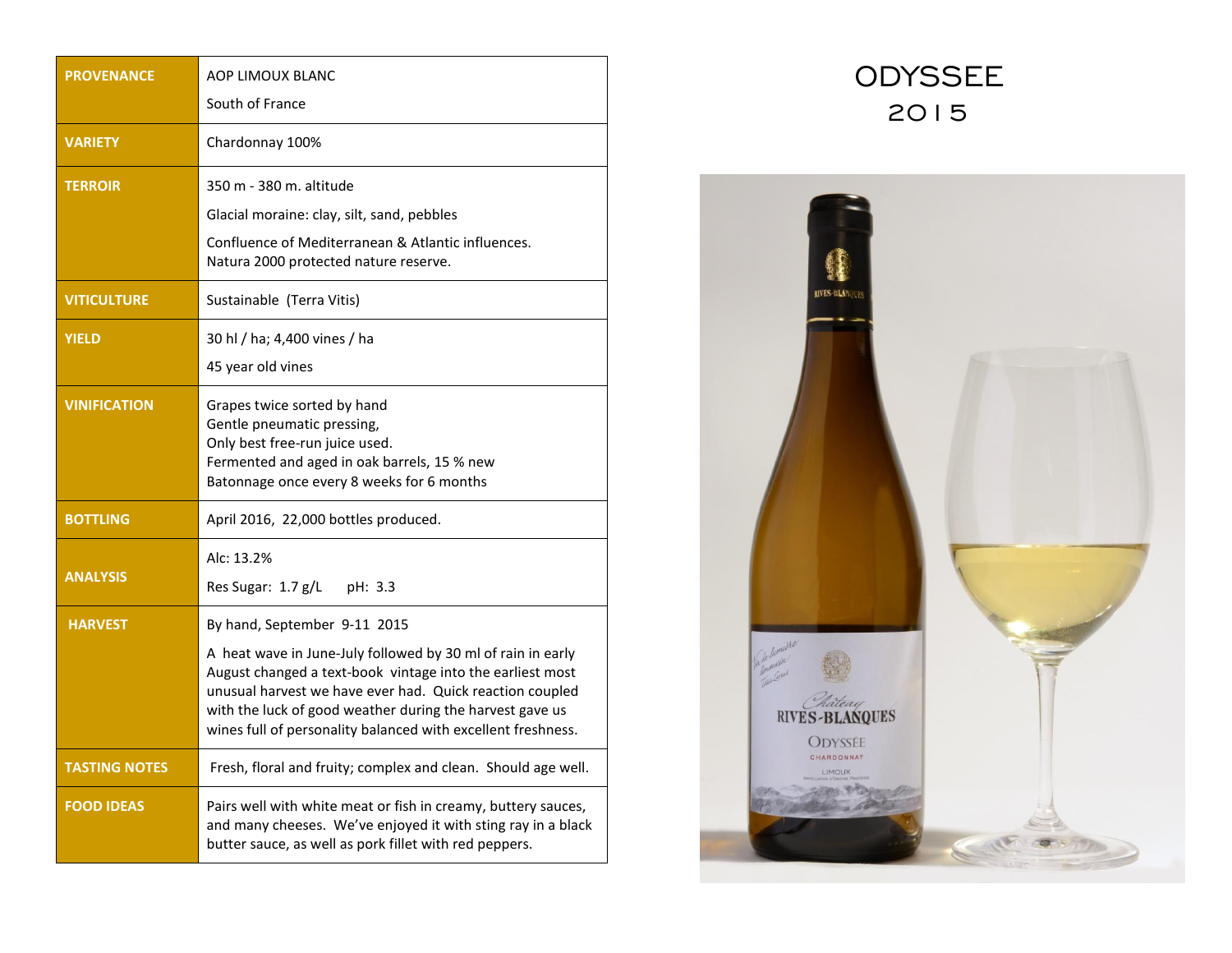| <b>PROVENANCE</b>    | AOP LIMOUX BLANC                                                                                                                                                                                                                                                                                                 |
|----------------------|------------------------------------------------------------------------------------------------------------------------------------------------------------------------------------------------------------------------------------------------------------------------------------------------------------------|
|                      | South of France                                                                                                                                                                                                                                                                                                  |
| <b>VARIETY</b>       | Chardonnay 100%                                                                                                                                                                                                                                                                                                  |
| <b>TERROIR</b>       | 350 m - 380 m. altitude                                                                                                                                                                                                                                                                                          |
|                      | Glacial moraine: clay, silt, sand, pebbles                                                                                                                                                                                                                                                                       |
|                      | Confluence of Mediterranean & Atlantic influences.<br>Natura 2000 protected nature reserve.                                                                                                                                                                                                                      |
| <b>VITICULTURE</b>   | Sustainable (Terra Vitis)                                                                                                                                                                                                                                                                                        |
| <b>YIELD</b>         | 30 hl / ha; 4,400 vines / ha                                                                                                                                                                                                                                                                                     |
|                      | 45 year old vines                                                                                                                                                                                                                                                                                                |
| <b>VINIFICATION</b>  | Grapes twice sorted by hand<br>Gentle pneumatic pressing,<br>Only best free-run juice used.<br>Fermented and aged in oak barrels, 15 % new<br>Batonnage once every 8 weeks for 6 months                                                                                                                          |
| <b>BOTTLING</b>      | April 2016, 22,000 bottles produced.                                                                                                                                                                                                                                                                             |
| <b>ANALYSIS</b>      | Alc: 13.2%<br>Res Sugar: 1.7 g/L<br>pH: $3.3$                                                                                                                                                                                                                                                                    |
| <b>HARVEST</b>       | By hand, September 9-11 2015                                                                                                                                                                                                                                                                                     |
|                      | A heat wave in June-July followed by 30 ml of rain in early<br>August changed a text-book vintage into the earliest most<br>unusual harvest we have ever had. Quick reaction coupled<br>with the luck of good weather during the harvest gave us<br>wines full of personality balanced with excellent freshness. |
| <b>TASTING NOTES</b> | Fresh, floral and fruity; complex and clean. Should age well.                                                                                                                                                                                                                                                    |
| <b>FOOD IDEAS</b>    | Pairs well with white meat or fish in creamy, buttery sauces,<br>and many cheeses. We've enjoyed it with sting ray in a black<br>butter sauce, as well as pork fillet with red peppers.                                                                                                                          |

## ODYSSEE 2015